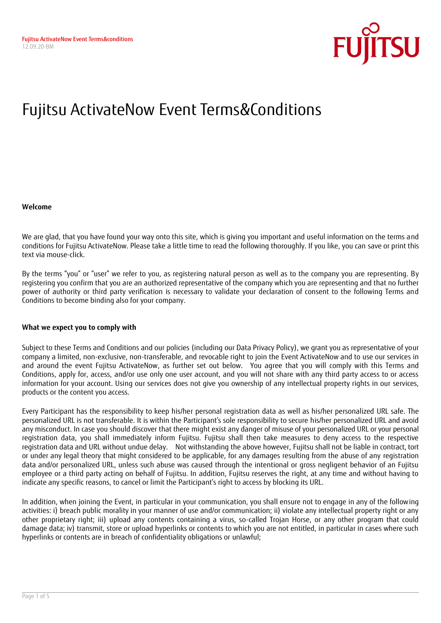

# Fujitsu ActivateNow Event Terms&Conditions

#### **Welcome**

We are glad, that you have found your way onto this site, which is giving you important and useful information on the terms and conditions for Fujitsu ActivateNow. Please take a little time to read the following thoroughly. If you like, you can save or print this text via mouse-click.

By the terms "you" or "user" we refer to you, as registering natural person as well as to the company you are representing. By registering you confirm that you are an authorized representative of the company which you are representing and that no further power of authority or third party verification is necessary to validate your declaration of consent to the following Terms and Conditions to become binding also for your company.

#### **What we expect you to comply with**

Subject to these Terms and Conditions and our policies (including our Data Privacy Policy), we grant you as representative of your company a limited, non-exclusive, non-transferable, and revocable right to join the Event ActivateNow and to use our services in and around the event Fujitsu ActivateNow, as further set out below. You agree that you will comply with this Terms and Conditions, apply for, access, and/or use only one user account, and you will not share with any third party access to or access information for your account. Using our services does not give you ownership of any intellectual property rights in our services, products or the content you access.

Every Participant has the responsibility to keep his/her personal registration data as well as his/her personalized URL safe. The personalized URL is not transferable. It is within the Participant's sole responsibility to secure his/her personalized URL and avoid any misconduct. In case you should discover that there might exist any danger of misuse of your personalized URL or your personal registration data, you shall immediately inform Fujitsu. Fujitsu shall then take measures to deny access to the respective registration data and URL without undue delay. Not withstanding the above however, Fujitsu shall not be liable in contract, tort or under any legal theory that might considered to be applicable, for any damages resulting from the abuse of any registration data and/or personalized URL, unless such abuse was caused through the intentional or gross negligent behavior of an Fujitsu employee or a third party acting on behalf of Fujitsu. In addition, Fujitsu reserves the right, at any time and without having to indicate any specific reasons, to cancel or limit the Participant's right to access by blocking its URL.

In addition, when joining the Event, in particular in your communication, you shall ensure not to engage in any of the following activities: i) breach public morality in your manner of use and/or communication; ii) violate any intellectual property right or any other proprietary right; iii) upload any contents containing a virus, so-called Trojan Horse, or any other program that could damage data; iv) transmit, store or upload hyperlinks or contents to which you are not entitled, in particular in cases where such hyperlinks or contents are in breach of confidentiality obligations or unlawful;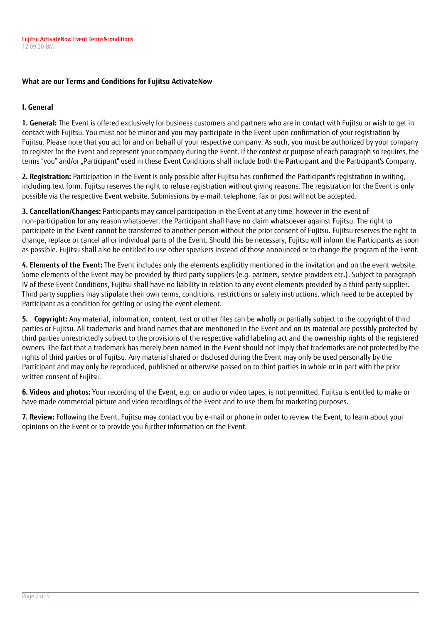# **What are our Terms and Conditions for Fujitsu ActivateNow**

# **I. General**

**1. General:** The Event is offered exclusively for business customers and partners who are in contact with Fujitsu or wish to get in contact with Fujitsu. You must not be minor and you may participate in the Event upon confirmation of your registration by Fujitsu. Please note that you act for and on behalf of your respective company. As such, you must be authorized by your company to register for the Event and represent your company during the Event. If the context or purpose of each paragraph so requires, the terms "you" and/or "Participant" used in these Event Conditions shall include both the Participant and the Participant's Company.

**2. Registration:** Participation in the Event is only possible after Fujitsu has confirmed the Participant's registration in writing, including text form. Fujitsu reserves the right to refuse registration without giving reasons. The registration for the Event is only possible via the respective Event website. Submissions by e-mail, telephone, fax or post will not be accepted.

**3. Cancellation/Changes:** Participants may cancel participation in the Event at any time, however in the event of non-participation for any reason whatsoever, the Participant shall have no claim whatsoever against Fujitsu. The right to participate in the Event cannot be transferred to another person without the prior consent of Fujitsu. Fujitsu reserves the right to change, replace or cancel all or individual parts of the Event. Should this be necessary, Fujitsu will inform the Participants as soon as possible. Fujitsu shall also be entitled to use other speakers instead of those announced or to change the program of the Event.

**4. Elements of the Event:** The Event includes only the elements explicitly mentioned in the invitation and on the event website. Some elements of the Event may be provided by third party suppliers (e.g. partners, service providers etc.). Subject to paragraph IV of these Event Conditions, Fujitsu shall have no liability in relation to any event elements provided by a third party supplier. Third party suppliers may stipulate their own terms, conditions, restrictions or safety instructions, which need to be accepted by Participant as a condition for getting or using the event element.

**5. Copyright:** Any material, information, content, text or other files can be wholly or partially subject to the copyright of third parties or Fujitsu. All trademarks and brand names that are mentioned in the Event and on its material are possibly protected by third parties unrestrictedly subject to the provisions of the respective valid labeling act and the ownership rights of the registered owners. The fact that a trademark has merely been named in the Event should not imply that trademarks are not protected by the rights of third parties or of Fujitsu. Any material shared or disclosed during the Event may only be used personally by the Participant and may only be reproduced, published or otherwise passed on to third parties in whole or in part with the prior written consent of Fujitsu.

**6. Videos and photos:** Your recording of the Event, e.g. on audio or video tapes, is not permitted. Fujitsu is entitled to make or have made commercial picture and video recordings of the Event and to use them for marketing purposes.

**7. Review:** Following the Event, Fujitsu may contact you by e-mail or phone in order to review the Event, to learn about your opinions on the Event or to provide you further information on the Event.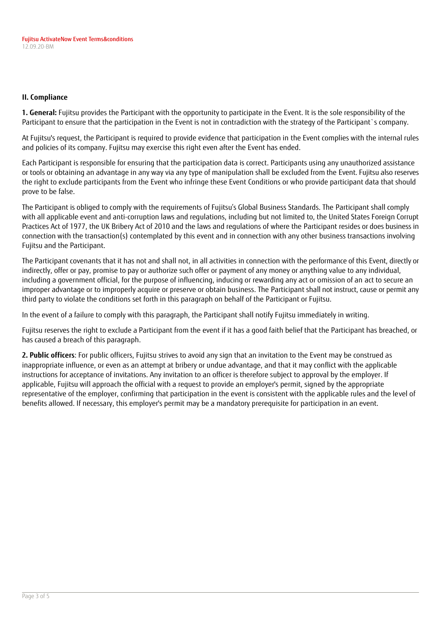# **II. Compliance**

**1. General:** Fujitsu provides the Participant with the opportunity to participate in the Event. It is the sole responsibility of the Participant to ensure that the participation in the Event is not in contradiction with the strategy of the Participant`s company.

At Fujitsu's request, the Participant is required to provide evidence that participation in the Event complies with the internal rules and policies of its company. Fujitsu may exercise this right even after the Event has ended.

Each Participant is responsible for ensuring that the participation data is correct. Participants using any unauthorized assistance or tools or obtaining an advantage in any way via any type of manipulation shall be excluded from the Event. Fujitsu also reserves the right to exclude participants from the Event who infringe these Event Conditions or who provide participant data that should prove to be false.

The Participant is obliged to comply with the requirements of Fujitsu's Global Business Standards. The Participant shall comply with all applicable event and anti-corruption laws and regulations, including but not limited to, the United States Foreign Corrupt Practices Act of 1977, the UK Bribery Act of 2010 and the laws and regulations of where the Participant resides or does business in connection with the transaction(s) contemplated by this event and in connection with any other business transactions involving Fujitsu and the Participant.

The Participant covenants that it has not and shall not, in all activities in connection with the performance of this Event, directly or indirectly, offer or pay, promise to pay or authorize such offer or payment of any money or anything value to any individual, including a government official, for the purpose of influencing, inducing or rewarding any act or omission of an act to secure an improper advantage or to improperly acquire or preserve or obtain business. The Participant shall not instruct, cause or permit any third party to violate the conditions set forth in this paragraph on behalf of the Participant or Fujitsu.

In the event of a failure to comply with this paragraph, the Participant shall notify Fujitsu immediately in writing.

Fujitsu reserves the right to exclude a Participant from the event if it has a good faith belief that the Participant has breached, or has caused a breach of this paragraph.

**2. Public officers**: For public officers, Fujitsu strives to avoid any sign that an invitation to the Event may be construed as inappropriate influence, or even as an attempt at bribery or undue advantage, and that it may conflict with the applicable instructions for acceptance of invitations. Any invitation to an officer is therefore subject to approval by the employer. If applicable, Fujitsu will approach the official with a request to provide an employer's permit, signed by the appropriate representative of the employer, confirming that participation in the event is consistent with the applicable rules and the level of benefits allowed. If necessary, this employer's permit may be a mandatory prerequisite for participation in an event.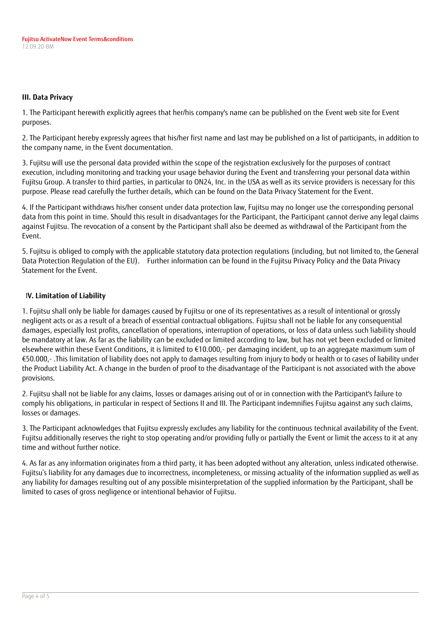#### **III. Data Privacy**

1. The Participant herewith explicitly agrees that her/his company's name can be published on the Event web site for Event purposes.

2. The Participant hereby expressly agrees that his/her first name and last may be published on a list of participants, in addition to the company name, in the Event documentation.

3. Fujitsu will use the personal data provided within the scope of the registration exclusively for the purposes of contract execution, including monitoring and tracking your usage behavior during the Event and transferring your personal data within Fujitsu Group. A transfer to third parties, in particular to ON24, Inc. in the USA as well as its service providers is necessary for this purpose. Please read carefully the further details, which can be found on the Data Privacy Statement for the Event.

4. If the Participant withdraws his/her consent under data protection law, Fujitsu may no longer use the corresponding personal data from this point in time. Should this result in disadvantages for the Participant, the Participant cannot derive any legal claims against Fujitsu. The revocation of a consent by the Participant shall also be deemed as withdrawal of the Participant from the Event.

5. Fujitsu is obliged to comply with the applicable statutory data protection regulations (including, but not limited to, the General Data Protection Regulation of the EU). Further information can be found in the Fujitsu Privacy Policy and the Data Privacy Statement for the Event.

# I**V. Limitation of Liability**

1. Fujitsu shall only be liable for damages caused by Fujitsu or one of its representatives as a result of intentional or grossly negligent acts or as a result of a breach of essential contractual obligations. Fujitsu shall not be liable for any consequential damages, especially lost profits, cancellation of operations, interruption of operations, or loss of data unless such liability should be mandatory at law. As far as the liability can be excluded or limited according to law, but has not yet been excluded or limited elsewhere within these Event Conditions, it is limited to €10.000,- per damaging incident, up to an aggregate maximum sum of €50.000,- .This limitation of liability does not apply to damages resulting from injury to body or health or to cases of liability under the Product Liability Act. A change in the burden of proof to the disadvantage of the Participant is not associated with the above provisions.

2. Fujitsu shall not be liable for any claims, losses or damages arising out of or in connection with the Participant's failure to comply his obligations, in particular in respect of Sections II and III. The Participant indemnifies Fujitsu against any such claims, losses or damages.

3. The Participant acknowledges that Fujitsu expressly excludes any liability for the continuous technical availability of the Event. Fujitsu additionally reserves the right to stop operating and/or providing fully or partially the Event or limit the access to it at any time and without further notice.

4. As far as any information originates from a third party, it has been adopted without any alteration, unless indicated otherwise. Fujitsu's liability for any damages due to incorrectness, incompleteness, or missing actuality of the information supplied as well as any liability for damages resulting out of any possible misinterpretation of the supplied information by the Participant, shall be limited to cases of gross negligence or intentional behavior of Fujitsu.